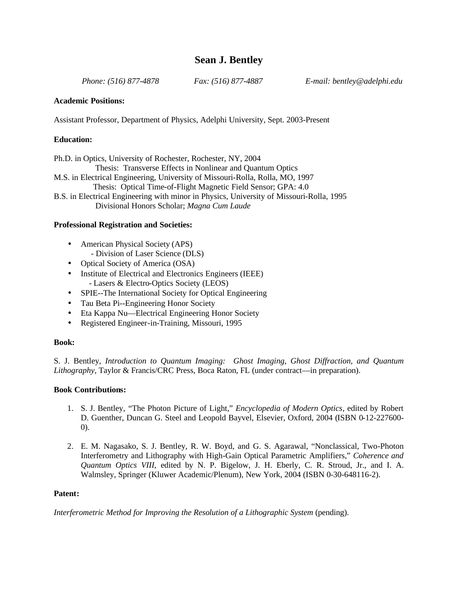# **Sean J. Bentley**

 *Phone: (516) 877-4878 Fax: (516) 877-4887 E-mail: bentley@adelphi.edu*

# **Academic Positions:**

Assistant Professor, Department of Physics, Adelphi University, Sept. 2003-Present

# **Education:**

Ph.D. in Optics, University of Rochester, Rochester, NY, 2004 Thesis: Transverse Effects in Nonlinear and Quantum Optics M.S. in Electrical Engineering, University of Missouri-Rolla, Rolla, MO, 1997 Thesis: Optical Time-of-Flight Magnetic Field Sensor; GPA: 4.0 B.S. in Electrical Engineering with minor in Physics, University of Missouri-Rolla, 1995 Divisional Honors Scholar; *Magna Cum Laude*

# **Professional Registration and Societies:**

- American Physical Society (APS) - Division of Laser Science (DLS)
- Optical Society of America (OSA)
- Institute of Electrical and Electronics Engineers (IEEE) - Lasers & Electro-Optics Society (LEOS)
- SPIE--The International Society for Optical Engineering
- Tau Beta Pi--Engineering Honor Society
- Eta Kappa Nu—Electrical Engineering Honor Society
- Registered Engineer-in-Training, Missouri, 1995

# **Book:**

S. J. Bentley, *Introduction to Quantum Imaging: Ghost Imaging, Ghost Diffraction, and Quantum Lithography*, Taylor & Francis/CRC Press, Boca Raton, FL (under contract—in preparation).

# **Book Contributions:**

- 1. S. J. Bentley, "The Photon Picture of Light," *Encyclopedia of Modern Optics*, edited by Robert D. Guenther, Duncan G. Steel and Leopold Bayvel, Elsevier, Oxford, 2004 (ISBN 0-12-227600- 0).
- 2. E. M. Nagasako, S. J. Bentley, R. W. Boyd, and G. S. Agarawal, "Nonclassical, Two-Photon Interferometry and Lithography with High-Gain Optical Parametric Amplifiers," *Coherence and Quantum Optics VIII*, edited by N. P. Bigelow, J. H. Eberly, C. R. Stroud, Jr., and I. A. Walmsley, Springer (Kluwer Academic/Plenum), New York, 2004 (ISBN 0-30-648116-2).

# **Patent:**

*Interferometric Method for Improving the Resolution of a Lithographic System* (pending).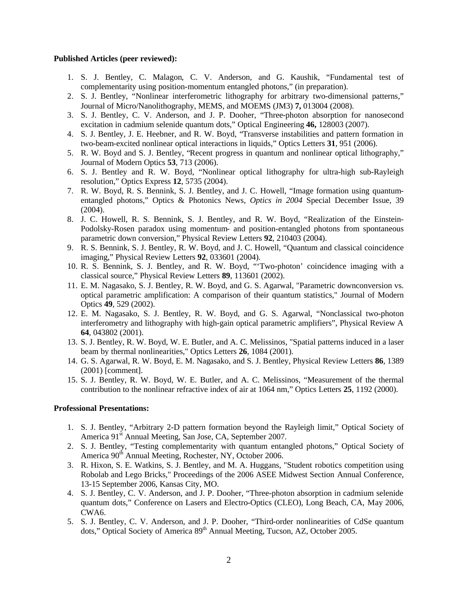#### **Published Articles (peer reviewed):**

- 1. S. J. Bentley, C. Malagon, C. V. Anderson, and G. Kaushik, "Fundamental test of complementarity using position-momentum entangled photons," (in preparation).
- 2. S. J. Bentley, "Nonlinear interferometric lithography for arbitrary two-dimensional patterns," Journal of Micro/Nanolithography, MEMS, and MOEMS (JM3) **7,** 013004 (2008).
- 3. S. J. Bentley, C. V. Anderson, and J. P. Dooher, "Three-photon absorption for nanosecond excitation in cadmium selenide quantum dots," Optical Engineering **46,** 128003 (2007).
- 4. S. J. Bentley, J. E. Heebner, and R. W. Boyd, "Transverse instabilities and pattern formation in two-beam-excited nonlinear optical interactions in liquids," Optics Letters **31**, 951 (2006).
- 5. R. W. Boyd and S. J. Bentley, "Recent progress in quantum and nonlinear optical lithography," Journal of Modern Optics **53**, 713 (2006).
- 6. S. J. Bentley and R. W. Boyd, "Nonlinear optical lithography for ultra-high sub-Rayleigh resolution," Optics Express **12**, 5735 (2004).
- 7. R. W. Boyd, R. S. Bennink, S. J. Bentley, and J. C. Howell, "Image formation using quantumentangled photons," Optics & Photonics News, *Optics in 2004* Special December Issue, 39  $(2004).$
- 8. J. C. Howell, R. S. Bennink, S. J. Bentley, and R. W. Boyd, "Realization of the Einstein-Podolsky-Rosen paradox using momentum- and position-entangled photons from spontaneous parametric down conversion," Physical Review Letters **92**, 210403 (2004).
- 9. R. S. Bennink, S. J. Bentley, R. W. Boyd, and J. C. Howell, "Quantum and classical coincidence imaging," Physical Review Letters **92**, 033601 (2004).
- 10. R. S. Bennink, S. J. Bentley, and R. W. Boyd, "'Two-photon' coincidence imaging with a classical source," Physical Review Letters **89**, 113601 (2002).
- 11. E. M. Nagasako, S. J. Bentley, R. W. Boyd, and G. S. Agarwal, "Parametric downconversion vs. optical parametric amplification: A comparison of their quantum statistics," Journal of Modern Optics **49**, 529 (2002).
- 12. E. M. Nagasako, S. J. Bentley, R. W. Boyd, and G. S. Agarwal, "Nonclassical two-photon interferometry and lithography with high-gain optical parametric amplifiers", Physical Review A **64**, 043802 (2001).
- 13. S. J. Bentley, R. W. Boyd, W. E. Butler, and A. C. Melissinos, "Spatial patterns induced in a laser beam by thermal nonlinearities," Optics Letters **26**, 1084 (2001).
- 14. G. S. Agarwal, R. W. Boyd, E. M. Nagasako, and S. J. Bentley, Physical Review Letters **86**, 1389 (2001) [comment].
- 15. S. J. Bentley, R. W. Boyd, W. E. Butler, and A. C. Melissinos, "Measurement of the thermal contribution to the nonlinear refractive index of air at 1064 nm," Optics Letters **25**, 1192 (2000).

# **Professional Presentations:**

- 1. S. J. Bentley, "Arbitrary 2-D pattern formation beyond the Rayleigh limit," Optical Society of America 91<sup>st</sup> Annual Meeting, San Jose, CA, September 2007.
- 2. S. J. Bentley, "Testing complementarity with quantum entangled photons," Optical Society of America 90<sup>th</sup> Annual Meeting, Rochester, NY, October 2006.
- 3. R. Hixon, S. E. Watkins, S. J. Bentley, and M. A. Huggans, "Student robotics competition using Robolab and Lego Bricks," Proceedings of the 2006 ASEE Midwest Section Annual Conference, 13-15 September 2006, Kansas City, MO.
- 4. S. J. Bentley, C. V. Anderson, and J. P. Dooher, "Three-photon absorption in cadmium selenide quantum dots," Conference on Lasers and Electro-Optics (CLEO), Long Beach, CA, May 2006, CWA6.
- 5. S. J. Bentley, C. V. Anderson, and J. P. Dooher, "Third-order nonlinearities of CdSe quantum dots," Optical Society of America 89<sup>th</sup> Annual Meeting, Tucson, AZ, October 2005.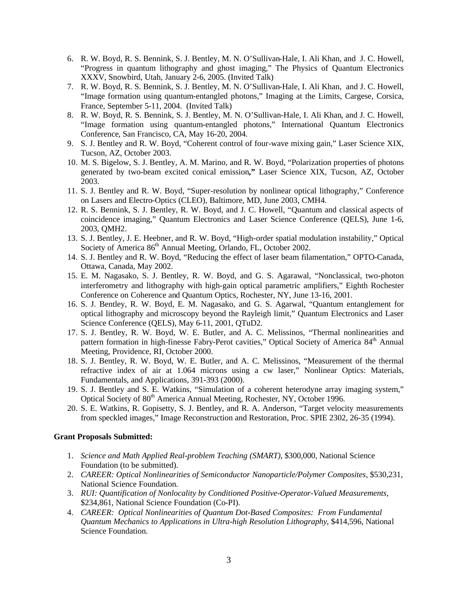- 6. R. W. Boyd, R. S. Bennink, S. J. Bentley, M. N. O'Sullivan-Hale, I. Ali Khan, and J. C. Howell, "Progress in quantum lithography and ghost imaging," The Physics of Quantum Electronics XXXV, Snowbird, Utah, January 2-6, 2005. (Invited Talk)
- 7. R. W. Boyd, R. S. Bennink, S. J. Bentley, M. N. O'Sullivan-Hale, I. Ali Khan, and J. C. Howell, "Image formation using quantum-entangled photons," Imaging at the Limits, Cargese, Corsica, France, September 5-11, 2004. (Invited Talk)
- 8. R. W. Boyd, R. S. Bennink, S. J. Bentley, M. N. O'Sullivan-Hale, I. Ali Khan, and J. C. Howell, "Image formation using quantum-entangled photons," International Quantum Electronics Conference, San Francisco, CA, May 16-20, 2004.
- 9. S. J. Bentley and R. W. Boyd, "Coherent control of four-wave mixing gain," Laser Science XIX, Tucson, AZ, October 2003.
- 10. M. S. Bigelow, S. J. Bentley, A. M. Marino, and R. W. Boyd, "Polarization properties of photons generated by two-beam excited conical emission**,"** Laser Science XIX, Tucson, AZ, October 2003.
- 11. S. J. Bentley and R. W. Boyd, "Super-resolution by nonlinear optical lithography," Conference on Lasers and Electro-Optics (CLEO), Baltimore, MD, June 2003, CMH4.
- 12. R. S. Bennink, S. J. Bentley, R. W. Boyd, and J. C. Howell, "Quantum and classical aspects of coincidence imaging," Quantum Electronics and Laser Science Conference (QELS), June 1-6, 2003, QMH2.
- 13. S. J. Bentley, J. E. Heebner, and R. W. Boyd, "High-order spatial modulation instability," Optical Society of America 86<sup>th</sup> Annual Meeting, Orlando, FL, October 2002.
- 14. S. J. Bentley and R. W. Boyd, "Reducing the effect of laser beam filamentation," OPTO-Canada, Ottawa, Canada, May 2002.
- 15. E. M. Nagasako, S. J. Bentley, R. W. Boyd, and G. S. Agarawal, "Nonclassical, two-photon interferometry and lithography with high-gain optical parametric amplifiers," Eighth Rochester Conference on Coherence and Quantum Optics, Rochester, NY, June 13-16, 2001.
- 16. S. J. Bentley, R. W. Boyd, E. M. Nagasako, and G. S. Agarwal, "Quantum entanglement for optical lithography and microscopy beyond the Rayleigh limit," Quantum Electronics and Laser Science Conference (QELS), May 6-11, 2001, QTuD2.
- 17. S. J. Bentley, R. W. Boyd, W. E. Butler, and A. C. Melissinos, "Thermal nonlinearities and pattern formation in high-finesse Fabry-Perot cavities," Optical Society of America 84<sup>th</sup> Annual Meeting, Providence, RI, October 2000.
- 18. S. J. Bentley, R. W. Boyd, W. E. Butler, and A. C. Melissinos, "Measurement of the thermal refractive index of air at 1.064 microns using a cw laser," Nonlinear Optics: Materials, Fundamentals, and Applications, 391-393 (2000).
- 19. S. J. Bentley and S. E. Watkins, "Simulation of a coherent heterodyne array imaging system," Optical Society of 80<sup>th</sup> America Annual Meeting, Rochester, NY, October 1996.
- 20. S. E. Watkins, R. Gopisetty, S. J. Bentley, and R. A. Anderson, "Target velocity measurements from speckled images," Image Reconstruction and Restoration, Proc. SPIE 2302, 26-35 (1994).

#### **Grant Proposals Submitted:**

- 1. *Science and Math Applied Real-problem Teaching (SMART)*, \$300,000, National Science Foundation (to be submitted).
- 2. *CAREER: Optical Nonlinearities of Semiconductor Nanoparticle/Polymer Composites*, \$530,231, National Science Foundation.
- 3. *RUI: Quantification of Nonlocality by Conditioned Positive-Operator-Valued Measurements*, \$234,861, National Science Foundation (Co-PI).
- 4. *CAREER: Optical Nonlinearities of Quantum Dot-Based Composites: From Fundamental Quantum Mechanics to Applications in Ultra-high Resolution Lithography*, \$414,596, National Science Foundation.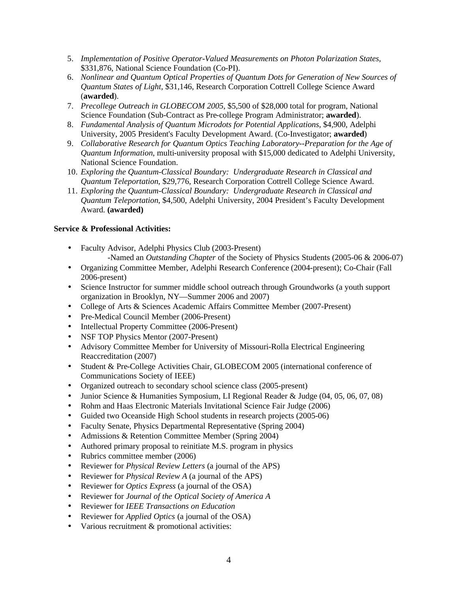- 5. *Implementation of Positive Operator-Valued Measurements on Photon Polarization States,*  \$331,876, National Science Foundation (Co-PI).
- 6. *Nonlinear and Quantum Optical Properties of Quantum Dots for Generation of New Sources of Quantum States of Light,* \$31,146, Research Corporation Cottrell College Science Award (**awarded**).
- 7. *Precollege Outreach in GLOBECOM 2005*, \$5,500 of \$28,000 total for program, National Science Foundation (Sub-Contract as Pre-college Program Administrator; **awarded**).
- 8. *Fundamental Analysis of Quantum Microdots for Potential Applications*, \$4,900, Adelphi University, 2005 President's Faculty Development Award. (Co-Investigator; **awarded**)
- 9. *Collaborative Research for Quantum Optics Teaching Laboratory--Preparation for the Age of Quantum Information*, multi-university proposal with \$15,000 dedicated to Adelphi University, National Science Foundation.
- 10. *Exploring the Quantum-Classical Boundary: Undergraduate Research in Classical and Quantum Teleportation*, \$29,776, Research Corporation Cottrell College Science Award.
- 11. *Exploring the Quantum-Classical Boundary: Undergraduate Research in Classical and Quantum Teleportation*, \$4,500, Adelphi University, 2004 President's Faculty Development Award. **(awarded)**

# **Service & Professional Activities:**

- Faculty Advisor, Adelphi Physics Club (2003-Present) -Named an *Outstanding Chapter* of the Society of Physics Students (2005-06 & 2006-07)
- Organizing Committee Member, Adelphi Research Conference (2004-present); Co-Chair (Fall 2006-present)
- Science Instructor for summer middle school outreach through Groundworks (a youth support organization in Brooklyn, NY—Summer 2006 and 2007)
- College of Arts & Sciences Academic Affairs Committee Member (2007-Present)
- Pre-Medical Council Member (2006-Present)
- Intellectual Property Committee (2006-Present)
- NSF TOP Physics Mentor (2007-Present)
- Advisory Committee Member for University of Missouri-Rolla Electrical Engineering Reaccreditation (2007)
- Student & Pre-College Activities Chair, GLOBECOM 2005 (international conference of Communications Society of IEEE)
- Organized outreach to secondary school science class (2005-present)
- Junior Science & Humanities Symposium, LI Regional Reader & Judge (04, 05, 06, 07, 08)
- Rohm and Haas Electronic Materials Invitational Science Fair Judge (2006)
- Guided two Oceanside High School students in research projects (2005-06)
- Faculty Senate, Physics Departmental Representative (Spring 2004)
- Admissions & Retention Committee Member (Spring 2004)
- Authored primary proposal to reinitiate M.S. program in physics
- Rubrics committee member (2006)
- Reviewer for *Physical Review Letters* (a journal of the APS)
- Reviewer for *Physical Review A* (a journal of the APS)
- Reviewer for *Optics Express* (a journal of the OSA)
- Reviewer for *Journal of the Optical Society of America A*
- Reviewer for *IEEE Transactions on Education*
- Reviewer for *Applied Optics* (a journal of the OSA)
- Various recruitment & promotional activities: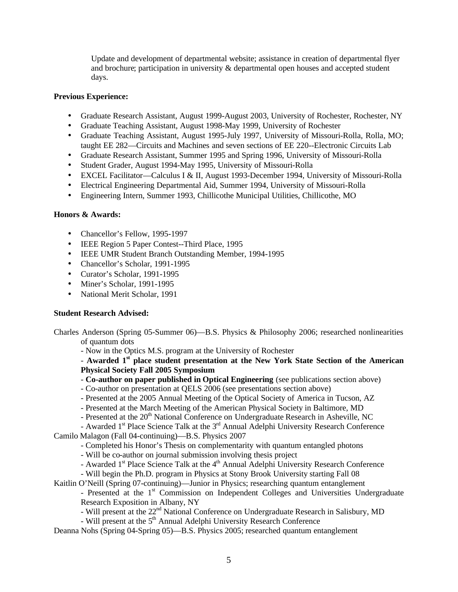Update and development of departmental website; assistance in creation of departmental flyer and brochure; participation in university & departmental open houses and accepted student days.

# **Previous Experience:**

- Graduate Research Assistant, August 1999-August 2003, University of Rochester, Rochester, NY
- Graduate Teaching Assistant, August 1998-May 1999, University of Rochester
- Graduate Teaching Assistant, August 1995-July 1997, University of Missouri-Rolla, Rolla, MO; taught EE 282—Circuits and Machines and seven sections of EE 220--Electronic Circuits Lab
- Graduate Research Assistant, Summer 1995 and Spring 1996, University of Missouri-Rolla
- Student Grader, August 1994-May 1995, University of Missouri-Rolla
- EXCEL Facilitator—Calculus I & II, August 1993-December 1994, University of Missouri-Rolla
- Electrical Engineering Departmental Aid, Summer 1994, University of Missouri-Rolla
- Engineering Intern, Summer 1993, Chillicothe Municipal Utilities, Chillicothe, MO

#### **Honors & Awards:**

- Chancellor's Fellow, 1995-1997
- IEEE Region 5 Paper Contest--Third Place, 1995
- IEEE UMR Student Branch Outstanding Member, 1994-1995
- Chancellor's Scholar, 1991-1995
- Curator's Scholar, 1991-1995
- Miner's Scholar, 1991-1995
- National Merit Scholar, 1991

# **Student Research Advised:**

- Charles Anderson (Spring 05-Summer 06)—B.S. Physics & Philosophy 2006; researched nonlinearities of quantum dots
	- Now in the Optics M.S. program at the University of Rochester

- **Awarded 1 st place student presentation at the New York State Section of the American Physical Society Fall 2005 Symposium**

- **Co-author on paper published in Optical Engineering** (see publications section above)
- Co-author on presentation at QELS 2006 (see presentations section above)
- Presented at the 2005 Annual Meeting of the Optical Society of America in Tucson, AZ
- Presented at the March Meeting of the American Physical Society in Baltimore, MD
- Presented at the 20<sup>th</sup> National Conference on Undergraduate Research in Asheville, NC
- Awarded 1<sup>st</sup> Place Science Talk at the 3<sup>rd</sup> Annual Adelphi University Research Conference

Camilo Malagon (Fall 04-continuing)—B.S. Physics 2007

- Completed his Honor's Thesis on complementarity with quantum entangled photons

- Will be co-author on journal submission involving thesis project
- Awarded 1<sup>st</sup> Place Science Talk at the 4<sup>th</sup> Annual Adelphi University Research Conference
- Will begin the Ph.D. program in Physics at Stony Brook University starting Fall 08

Kaitlin O'Neill (Spring 07-continuing)—Junior in Physics; researching quantum entanglement - Presented at the 1<sup>st</sup> Commission on Independent Colleges and Universities Undergraduate

Research Exposition in Albany, NY

- Will present at the 22<sup>nd</sup> National Conference on Undergraduate Research in Salisbury, MD
- $-$  Will present at the  $5<sup>th</sup>$  Annual Adelphi University Research Conference

Deanna Nohs (Spring 04-Spring 05)—B.S. Physics 2005; researched quantum entanglement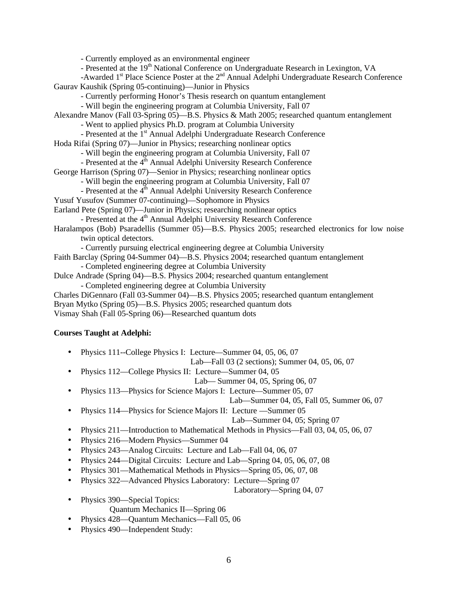- Currently employed as an environmental engineer

- Presented at the 19<sup>th</sup> National Conference on Undergraduate Research in Lexington, VA

-Awarded 1<sup>st</sup> Place Science Poster at the 2<sup>nd</sup> Annual Adelphi Undergraduate Research Conference Gaurav Kaushik (Spring 05-continuing)—Junior in Physics

- Currently performing Honor's Thesis research on quantum entanglement

- Will begin the engineering program at Columbia University, Fall 07

Alexandre Manov (Fall 03-Spring 05)—B.S. Physics & Math 2005; researched quantum entanglement

- Went to applied physics Ph.D. program at Columbia University

- Presented at the 1<sup>st</sup> Annual Adelphi Undergraduate Research Conference
- Hoda Rifai (Spring 07)—Junior in Physics; researching nonlinear optics
	- Will begin the engineering program at Columbia University, Fall 07

- Presented at the 4<sup>th</sup> Annual Adelphi University Research Conference

George Harrison (Spring 07)—Senior in Physics; researching nonlinear optics

- Will begin the engineering program at Columbia University, Fall 07

- Presented at the  $4<sup>th</sup>$  Annual Adelphi University Research Conference
- Yusuf Yusufov (Summer 07-continuing)—Sophomore in Physics
- Earland Pete (Spring 07)—Junior in Physics; researching nonlinear optics

 $-$  Presented at the  $4<sup>th</sup>$  Annual Adelphi University Research Conference

Haralampos (Bob) Psaradellis (Summer 05)—B.S. Physics 2005; researched electronics for low noise twin optical detectors.

- Currently pursuing electrical engineering degree at Columbia University

Faith Barclay (Spring 04-Summer 04)—B.S. Physics 2004; researched quantum entanglement

- Completed engineering degree at Columbia University

Dulce Andrade (Spring 04)—B.S. Physics 2004; researched quantum entanglement - Completed engineering degree at Columbia University

Charles DiGennaro (Fall 03-Summer 04)—B.S. Physics 2005; researched quantum entanglement

Bryan Mytko (Spring 05)—B.S. Physics 2005; researched quantum dots

Vismay Shah (Fall 05-Spring 06)—Researched quantum dots

# **Courses Taught at Adelphi:**

• Physics 111--College Physics I: Lecture—Summer 04, 05, 06, 07

Lab—Fall 03 (2 sections); Summer 04, 05, 06, 07

• Physics 112—College Physics II: Lecture—Summer 04, 05

# Lab— Summer 04, 05, Spring 06, 07

• Physics 113—Physics for Science Majors I: Lecture—Summer 05, 07

Lab—Summer 04, 05, Fall 05, Summer 06, 07

• Physics 114—Physics for Science Majors II: Lecture —Summer 05

# Lab—Summer 04, 05; Spring 07

• Physics 211—Introduction to Mathematical Methods in Physics—Fall 03, 04, 05, 06, 07

• Physics 216—Modern Physics—Summer 04

- Physics 243—Analog Circuits: Lecture and Lab—Fall 04, 06, 07
- Physics 244—Digital Circuits: Lecture and Lab—Spring 04, 05, 06, 07, 08
- Physics 301—Mathematical Methods in Physics—Spring 05, 06, 07, 08
- Physics 322—Advanced Physics Laboratory: Lecture—Spring 07
	- Laboratory—Spring 04, 07
- Physics 390—Special Topics: Quantum Mechanics II—Spring 06
- Physics 428—Quantum Mechanics—Fall 05, 06
- Physics 490—Independent Study: